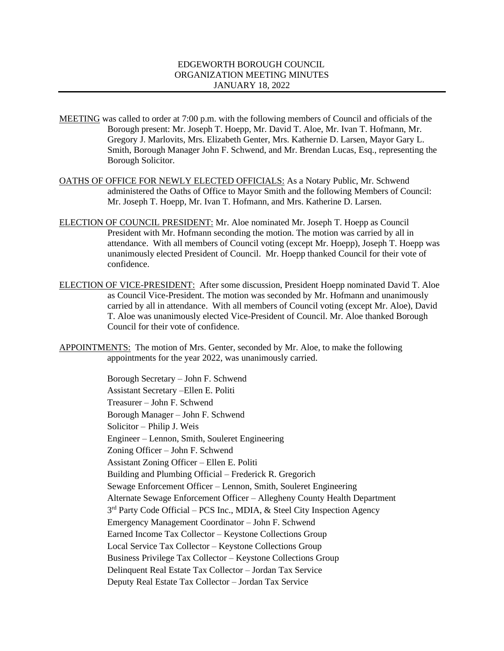## EDGEWORTH BOROUGH COUNCIL ORGANIZATION MEETING MINUTES JANUARY 18, 2022

- MEETING was called to order at 7:00 p.m. with the following members of Council and officials of the Borough present: Mr. Joseph T. Hoepp, Mr. David T. Aloe, Mr. Ivan T. Hofmann, Mr. Gregory J. Marlovits, Mrs. Elizabeth Genter, Mrs. Kathernie D. Larsen, Mayor Gary L. Smith, Borough Manager John F. Schwend, and Mr. Brendan Lucas, Esq., representing the Borough Solicitor.
- OATHS OF OFFICE FOR NEWLY ELECTED OFFICIALS: As a Notary Public, Mr. Schwend administered the Oaths of Office to Mayor Smith and the following Members of Council: Mr. Joseph T. Hoepp, Mr. Ivan T. Hofmann, and Mrs. Katherine D. Larsen.
- ELECTION OF COUNCIL PRESIDENT: Mr. Aloe nominated Mr. Joseph T. Hoepp as Council President with Mr. Hofmann seconding the motion. The motion was carried by all in attendance. With all members of Council voting (except Mr. Hoepp), Joseph T. Hoepp was unanimously elected President of Council. Mr. Hoepp thanked Council for their vote of confidence.
- ELECTION OF VICE-PRESIDENT: After some discussion, President Hoepp nominated David T. Aloe as Council Vice-President. The motion was seconded by Mr. Hofmann and unanimously carried by all in attendance. With all members of Council voting (except Mr. Aloe), David T. Aloe was unanimously elected Vice-President of Council. Mr. Aloe thanked Borough Council for their vote of confidence.
- APPOINTMENTS: The motion of Mrs. Genter, seconded by Mr. Aloe, to make the following appointments for the year 2022, was unanimously carried.

Borough Secretary – John F. Schwend Assistant Secretary –Ellen E. Politi Treasurer – John F. Schwend Borough Manager – John F. Schwend Solicitor – Philip J. Weis Engineer – Lennon, Smith, Souleret Engineering Zoning Officer – John F. Schwend Assistant Zoning Officer – Ellen E. Politi Building and Plumbing Official – Frederick R. Gregorich Sewage Enforcement Officer – Lennon, Smith, Souleret Engineering Alternate Sewage Enforcement Officer – Allegheny County Health Department 3<sup>rd</sup> Party Code Official – PCS Inc., MDIA, & Steel City Inspection Agency Emergency Management Coordinator – John F. Schwend Earned Income Tax Collector – Keystone Collections Group Local Service Tax Collector – Keystone Collections Group Business Privilege Tax Collector – Keystone Collections Group Delinquent Real Estate Tax Collector – Jordan Tax Service Deputy Real Estate Tax Collector – Jordan Tax Service